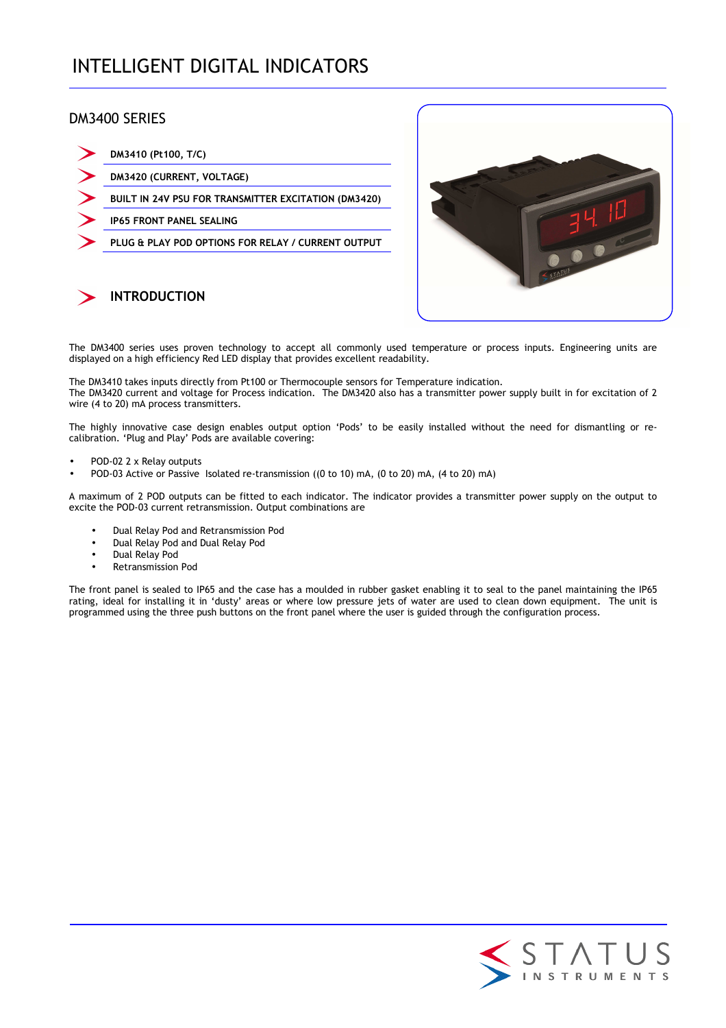# INTELLIGENT DIGITAL INDICATORS

## DM3400 SERIES

| DM3410 (Pt100, T/C)                                  |
|------------------------------------------------------|
| DM3420 (CURRENT, VOLTAGE)                            |
| BUILT IN 24V PSU FOR TRANSMITTER EXCITATION (DM3420) |
| <b>IP65 FRONT PANEL SEALING</b>                      |
| PLUG & PLAY POD OPTIONS FOR RELAY / CURRENT OUTPUT   |



The DM3400 series uses proven technology to accept all commonly used temperature or process inputs. Engineering units are displayed on a high efficiency Red LED display that provides excellent readability.

The DM3410 takes inputs directly from Pt100 or Thermocouple sensors for Temperature indication.

The DM3420 current and voltage for Process indication. The DM3420 also has a transmitter power supply built in for excitation of 2 wire (4 to 20) mA process transmitters.

The highly innovative case design enables output option 'Pods' to be easily installed without the need for dismantling or recalibration. 'Plug and Play' Pods are available covering:

• POD-02 2 x Relay outputs

**INTRODUCTION** 

• POD-03 Active or Passive Isolated re-transmission ((0 to 10) mA, (0 to 20) mA, (4 to 20) mA)

A maximum of 2 POD outputs can be fitted to each indicator. The indicator provides a transmitter power supply on the output to excite the POD-03 current retransmission. Output combinations are

- Dual Relay Pod and Retransmission Pod
- Dual Relay Pod and Dual Relay Pod
- Dual Relay Pod
- Retransmission Pod

The front panel is sealed to IP65 and the case has a moulded in rubber gasket enabling it to seal to the panel maintaining the IP65 rating, ideal for installing it in 'dusty' areas or where low pressure jets of water are used to clean down equipment. The unit is programmed using the three push buttons on the front panel where the user is guided through the configuration process.

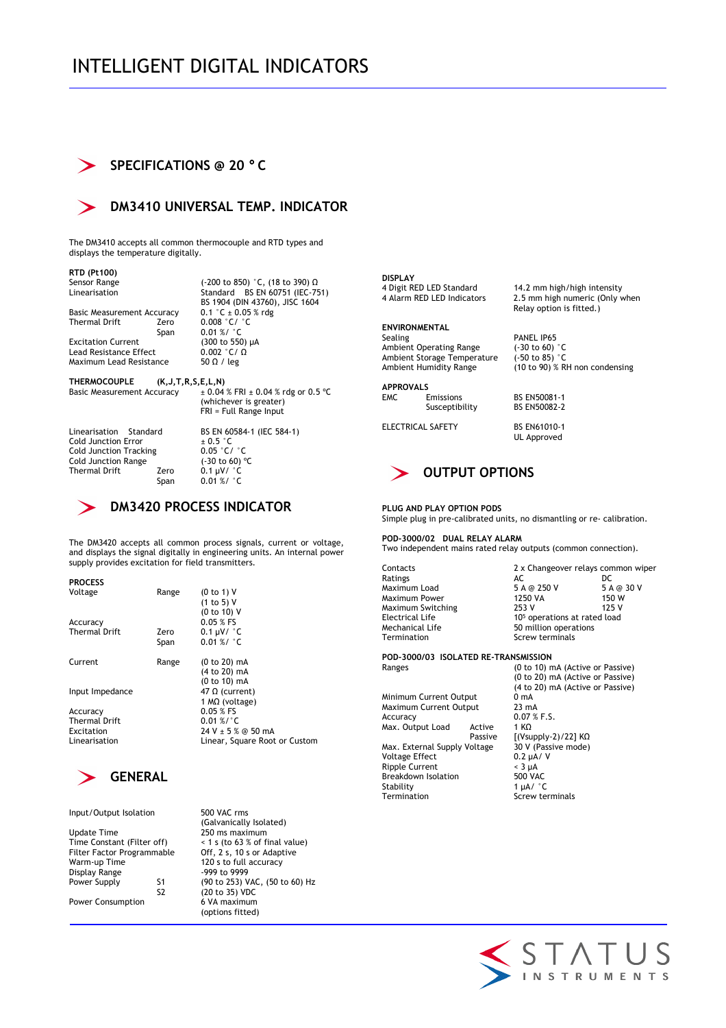# INTELLIGENT DIGITAL INDICATORS

## **SPECIFICATIONS @ 20** ° **C**



## **DM3410 UNIVERSAL TEMP. INDICATOR**

The DM3410 accepts all common thermocouple and RTD types and displays the temperature digitally.

**RTD (Pt100)**  Sensor Range (-200 to 850) °C, (18 to 390) Ω Linearisation Standard BS EN 60751 (IEC-751)

Basic Measurement Accuracy<br>Thermal Drift Zero Thermal Drift Zero 0.008 °C/ °C  $Span$  0.01 %/  $°C$ 

Lead Resistance Effect Maximum Lead Resistance 50  $\Omega$  / leg

BS 1904 (DIN 43760), JISC 1604<br>0.1 °C ± 0.05 % rdg Excitation Current (300 to 550)  $\mu$ A<br>Lead Resistance Effect 0.002 °C/  $\Omega$ 

**THERMOCOUPLE** (K,J,T,R,S,E,L,N)<br>Basic Measurement Accuracy  $\pm 0.04$ 

 $\pm 0.04$  % FRI  $\pm 0.04$  % rdg or 0.5 °C (whichever is greater) FRI = Full Range Input

Cold Junction Error Cold Junction Tracking  $0.05 \degree C / \degree C$ <br>Cold Junction Range  $(-30 \text{ to } 60) \degree C$ Cold Junction Range<br>Thermal Drift 7ero

Linearisation Standard BS EN 60584-1 (IEC 584-1)<br>
Cold Junction Error  $\pm 0.5^{\circ}$ C<br>
Cold Junction Tracking  $0.05^{\circ}$ C/ $^{\circ}$ C  $0.1 \mu V/$   $\degree$ C Span 0.01 %/ °C

## **DM3420 PROCESS INDICATOR**

The DM3420 accepts all common process signals, current or voltage, and displays the signal digitally in engineering units. An internal power supply provides excitation for field transmitters.

| <b>PROCESS</b>       |       |                               |
|----------------------|-------|-------------------------------|
| Voltage              | Range | (0 to 1) V                    |
|                      |       | (1 to 5) V                    |
|                      |       | (0 to 10) V                   |
| Accuracy             |       | $0.05$ % FS                   |
| <b>Thermal Drift</b> | Zero  | $0.1 \mu V / C$               |
|                      | Span  | $0.01 \%$ / °C                |
| Current              | Range | $(0 to 20)$ mA                |
|                      |       | (4 to 20) mA                  |
|                      |       | (0 to 10) mA                  |
| Input Impedance      |       | 47 Ω (current)                |
|                      |       | 1 $M\Omega$ (voltage)         |
| Accuracy             |       | $0.05 %$ FS                   |
| <b>Thermal Drift</b> |       | $0.01 \%$ /°C                 |
| Excitation           |       | $24 V + 5 %$ @ 50 mA          |
| Linearisation        |       | Linear, Square Root or Custom |
|                      |       |                               |



Input/Output Isolation 500 VAC rms (Galvanically Isolated)<br>Update Time 250 ms maximum Update Time 250 ms maximum<br>Time Constant (Filter off)  $\leq 1$  s (to 63 % of filter Filter Factor Programmable<br>Warm-up Time Display Range S2 (20 to 35) VDC Power Consumption 6 VA maximum

 $<$  1 s (to 63 % of final value)<br>Off, 2 s, 10 s or Adaptive 120 s to full accuracy<br>-999 to 9999 Power Supply S1 (90 to 253) VAC, (50 to 60) Hz (options fitted)

**DISPLAY**  4 Digit RED LED Standard 14.2 mm high/high intensity<br>4 Alarm RED LED Indicators 2.5 mm high numeric (Only v

**ENVIRONMENTAL**  Ambient Operating Range (-30 to 60) °C<br>Ambient Storage Temperature (-50 to 85) °C Ambient Storage Temperature<br>Ambient Humidity Range

**APPROVALS**  Susceptibility

ELECTRICAL SAFETY BS EN61010-1 UL Approved

BS EN50081-1<br>BS EN50082-2

PANEL IP65<br>(-30 to 60) °C

## **OUTPUT OPTIONS**

#### **PLUG AND PLAY OPTION PODS**

Simple plug in pre-calibrated units, no dismantling or re- calibration.

**POD-3000/02 DUAL RELAY ALARM**  Two independent mains rated relay outputs (common connection).

Ratings Maximum Switching Electrical Life<br>Mechanical Life

Contacts 2 x Changeover relays common wiper<br>Ratings 2 AC DC Maximum Load 5 A @ 250 V 5 A @ 30 V Maximum Power 1250 VA 150 W 10<sup>5</sup> operations at rated load Mechanical Life 50 million operations Screw terminals

2.5 mm high numeric (Only when Relay option is fitted.)

 $(10$  to 90)  $%$  RH non condensing

#### **POD-3000/03 ISOLATED RE-TRANSMISSION**

 $M$ inimum Current Output  $0 \text{ mA}$ <br>Maximum Current Output  $23 \text{ mA}$ Maximum Current Output Accuracy 0.07 % F.S.<br>Max. Output Load Active 1 KQ Max. Output Load Active Max. External Supply Voltage  $\overline{30}$  V (Pass<br>Voltage Effect 0.2 µA/ V Voltage Effect 0.2  $\mu$ A/<br>
Ripple Current < 3  $\mu$ A Ripple Current Breakdown Isolation 500 VAC Stability 1 µA/ °C<br>Termination Screw te

Ranges (0 to 10) mA (Active or Passive) (0 to 20) mA (Active or Passive) (4 to 20) mA (Active or Passive) [(Vsupply-2)/22] KΩ<br>30 V (Passive mode)

Screw terminals